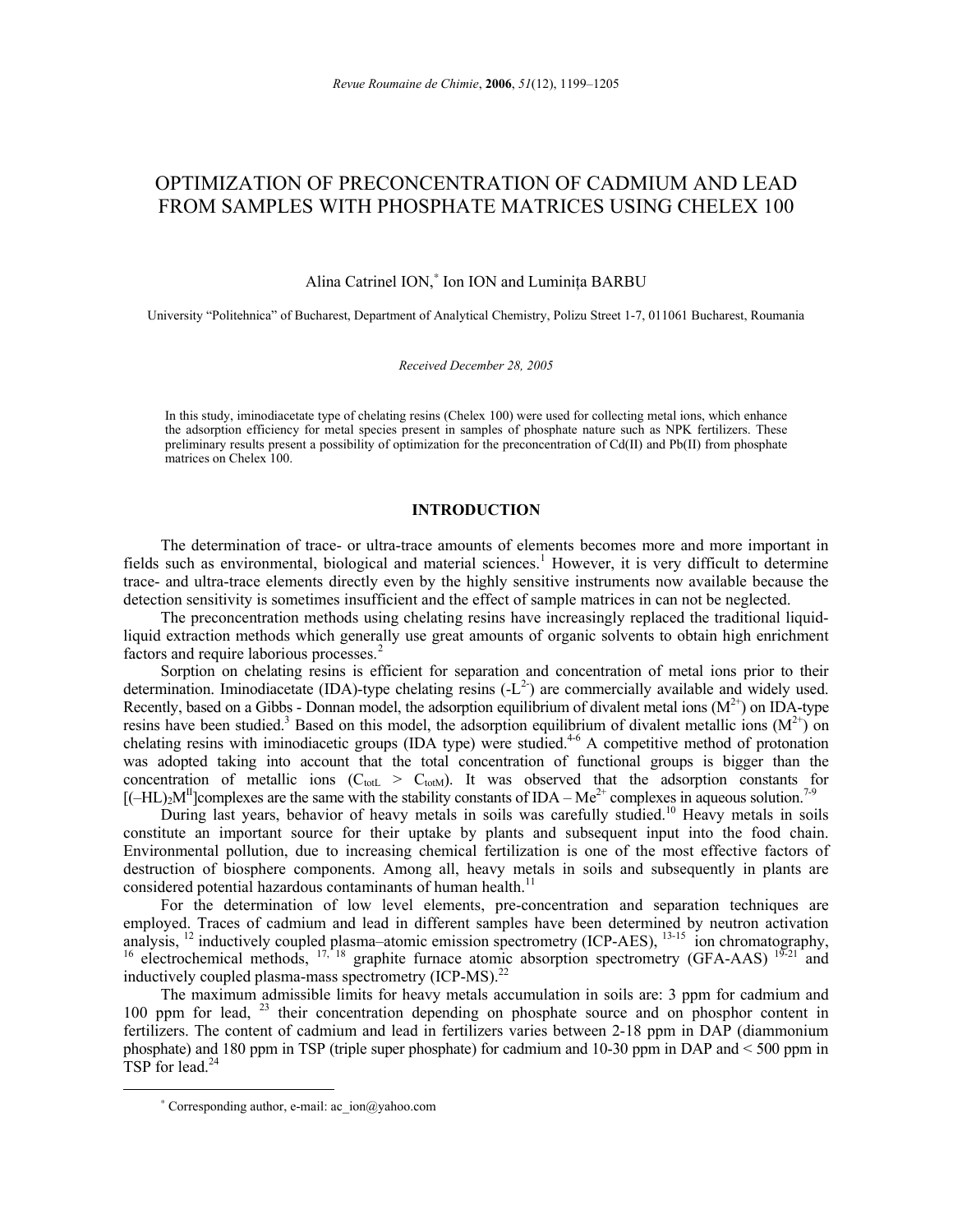# OPTIMIZATION OF PRECONCENTRATION OF CADMIUM AND LEAD FROM SAMPLES WITH PHOSPHATE MATRICES USING CHELEX 100

Alina Catrinel ION,<sup>∗</sup> Ion ION and Luminiţa BARBU

University "Politehnica" of Bucharest, Department of Analytical Chemistry, Polizu Street 1-7, 011061 Bucharest, Roumania

*Received December 28, 2005* 

In this study, iminodiacetate type of chelating resins (Chelex 100) were used for collecting metal ions, which enhance the adsorption efficiency for metal species present in samples of phosphate nature such as NPK fertilizers. These preliminary results present a possibility of optimization for the preconcentration of Cd(II) and Pb(II) from phosphate matrices on Chelex 100.

## **INTRODUCTION**

The determination of trace- or ultra-trace amounts of elements becomes more and more important in fields such as environmental, biological and material sciences.<sup>1</sup> However, it is very difficult to determine trace- and ultra-trace elements directly even by the highly sensitive instruments now available because the detection sensitivity is sometimes insufficient and the effect of sample matrices in can not be neglected.

The preconcentration methods using chelating resins have increasingly replaced the traditional liquidliquid extraction methods which generally use great amounts of organic solvents to obtain high enrichment factors and require laborious processes.<sup>2</sup>

Sorption on chelating resins is efficient for separation and concentration of metal ions prior to their determination. Iminodiacetate (IDA)-type chelating resins  $(-L^2)$  are commercially available and widely used. Recently, based on a Gibbs - Donnan model, the adsorption equilibrium of divalent metal ions  $(M^{2+})$  on IDA-type resins have been studied.<sup>3</sup> Based on this model, the adsorption equilibrium of divalent metallic ions  $(M^{2+})$  on chelating resins with iminodiacetic groups (IDA type) were studied.<sup>4-6</sup> A competitive method of protonation was adopted taking into account that the total concentration of functional groups is bigger than the concentration of metallic ions ( $C_{\text{totL}} > C_{\text{totM}}$ ). It was observed that the adsorption constants for  $[(-HL)_2M<sup>H</sup>]$ complexes are the same with the stability constants of IDA – Me<sup>2+</sup> complexes in aqueous solution.<sup>7-9</sup>

During last years, behavior of heavy metals in soils was carefully studied.<sup>10</sup> Heavy metals in soils constitute an important source for their uptake by plants and subsequent input into the food chain. Environmental pollution, due to increasing chemical fertilization is one of the most effective factors of destruction of biosphere components. Among all, heavy metals in soils and subsequently in plants are considered potential hazardous contaminants of human health.<sup>11</sup>

For the determination of low level elements, pre-concentration and separation techniques are employed. Traces of cadmium and lead in different samples have been determined by neutron activation analysis, <sup>12</sup> inductively coupled plasma–atomic emission spectrometry (ICP-AES), <sup>13-15</sup> ion chromatography, <sup>16</sup> electrochemical methods,  $17, 18$  graphite furnace atomic absorption spectrometry (GFA-AAS)  $19-21$  and inductively coupled plasma-mass spectrometry (ICP-MS).<sup>22</sup>

The maximum admissible limits for heavy metals accumulation in soils are: 3 ppm for cadmium and 100 ppm for lead, <sup>23</sup> their concentration depending on phosphate source and on phosphor content in fertilizers. The content of cadmium and lead in fertilizers varies between 2-18 ppm in DAP (diammonium phosphate) and 180 ppm in TSP (triple super phosphate) for cadmium and 10-30 ppm in DAP and < 500 ppm in TSP for lead. $^{24}$ 

 $\overline{a}$ 

<sup>∗</sup> Corresponding author, e-mail: ac\_ion@yahoo.com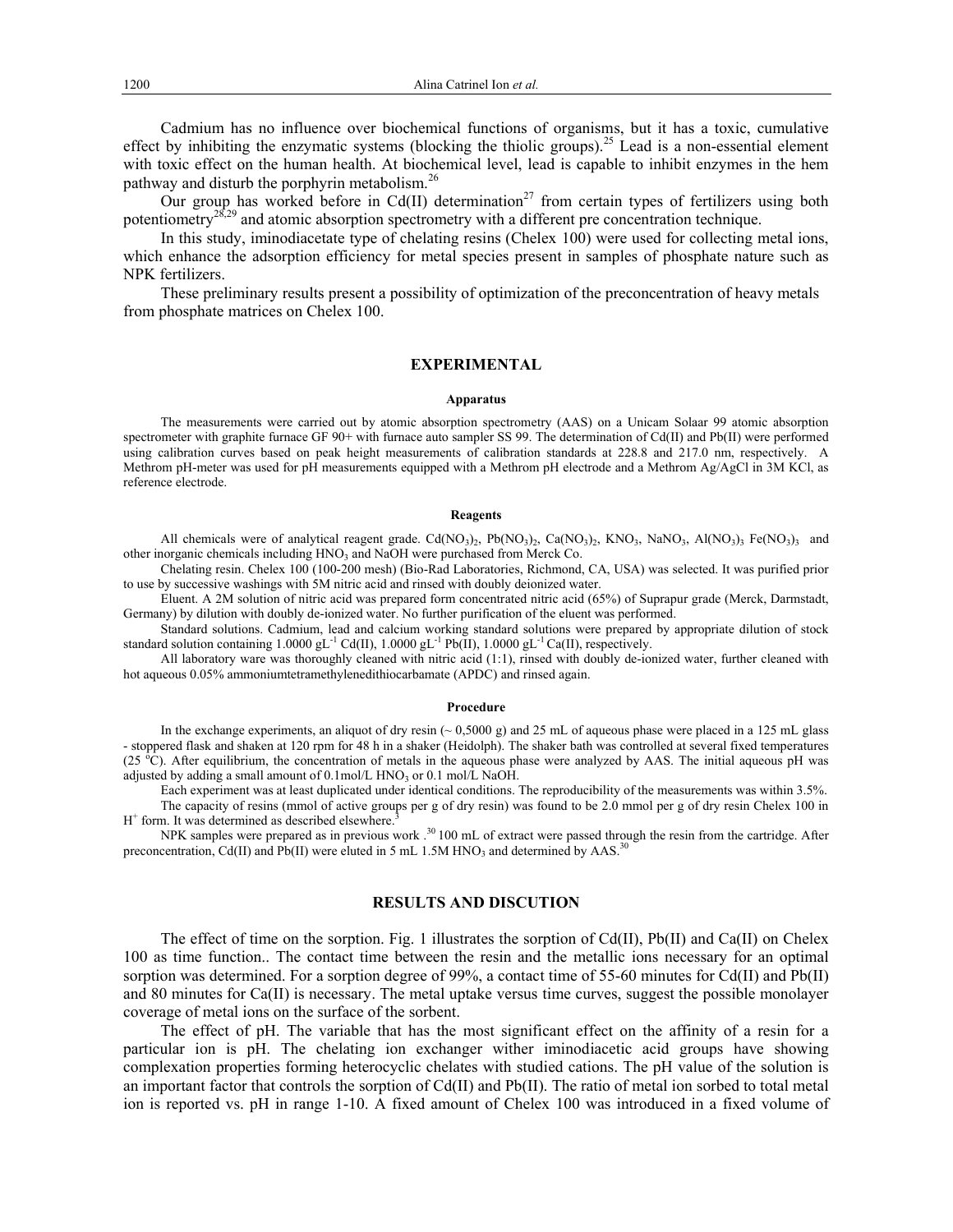Cadmium has no influence over biochemical functions of organisms, but it has a toxic, cumulative effect by inhibiting the enzymatic systems (blocking the thiolic groups).<sup>25</sup> Lead is a non-essential element with toxic effect on the human health. At biochemical level, lead is capable to inhibit enzymes in the hem pathway and disturb the porphyrin metabolism. $^{26}$ 

Our group has worked before in Cd(II) determination<sup>27</sup> from certain types of fertilizers using both potentiometry<sup>28,29</sup> and atomic absorption spectrometry with a different pre concentration technique.

In this study, iminodiacetate type of chelating resins (Chelex 100) were used for collecting metal ions, which enhance the adsorption efficiency for metal species present in samples of phosphate nature such as NPK fertilizers.

These preliminary results present a possibility of optimization of the preconcentration of heavy metals from phosphate matrices on Chelex 100.

## **EXPERIMENTAL**

#### **Apparatus**

The measurements were carried out by atomic absorption spectrometry (AAS) on a Unicam Solaar 99 atomic absorption spectrometer with graphite furnace GF 90+ with furnace auto sampler SS 99. The determination of Cd(II) and Pb(II) were performed using calibration curves based on peak height measurements of calibration standards at 228.8 and 217.0 nm, respectively. A Methrom pH-meter was used for pH measurements equipped with a Methrom pH electrode and a Methrom Ag/AgCl in 3M KCl, as reference electrode.

#### **Reagents**

All chemicals were of analytical reagent grade. Cd(NO<sub>3</sub>)<sub>2</sub>, Pb(NO<sub>3</sub>)<sub>2</sub>, Ca(NO<sub>3</sub>)<sub>2</sub>, KNO<sub>3</sub>, NaNO<sub>3</sub>, Al(NO<sub>3</sub>)<sub>3</sub> Fe(NO<sub>3</sub>)<sub>3</sub> and other inorganic chemicals including HNO<sub>3</sub> and NaOH were purchased from Merck Co.

Chelating resin. Chelex 100 (100-200 mesh) (Bio-Rad Laboratories, Richmond, CA, USA) was selected. It was purified prior to use by successive washings with 5M nitric acid and rinsed with doubly deionized water.

Eluent. A 2M solution of nitric acid was prepared form concentrated nitric acid (65%) of Suprapur grade (Merck, Darmstadt, Germany) by dilution with doubly de-ionized water. No further purification of the eluent was performed.

Standard solutions. Cadmium, lead and calcium working standard solutions were prepared by appropriate dilution of stock standard solution containing  $1.0000 \text{ gL}^{-1}$  Cd(II),  $1.0000 \text{ gL}^{-1}$  Pb(II),  $1.0000 \text{ gL}^{-1}$  Ca(II), respectively.

All laboratory ware was thoroughly cleaned with nitric acid (1:1), rinsed with doubly de-ionized water, further cleaned with hot aqueous 0.05% ammoniumtetramethylenedithiocarbamate (APDC) and rinsed again.

#### **Procedure**

In the exchange experiments, an aliquot of dry resin ( $\sim 0.5000$  g) and 25 mL of aqueous phase were placed in a 125 mL glass - stoppered flask and shaken at 120 rpm for 48 h in a shaker (Heidolph). The shaker bath was controlled at several fixed temperatures (25  $^{\circ}$ C). After equilibrium, the concentration of metals in the aqueous phase were analyzed by AAS. The initial aqueous pH was adjusted by adding a small amount of  $0.1 \text{mol/L HNO}_3$  or  $0.1 \text{mol/L NaOH}$ .

Each experiment was at least duplicated under identical conditions. The reproducibility of the measurements was within 3.5%. The capacity of resins (mmol of active groups per g of dry resin) was found to be 2.0 mmol per g of dry resin Chelex 100 in  $H<sup>+</sup>$  form. It was determined as described elsewhere.<sup>3</sup>

NPK samples were prepared as in previous work .<sup>30</sup> 100 mL of extract were passed through the resin from the cartridge. After preconcentration, Cd(II) and Pb(II) were eluted in 5 mL 1.5M HNO<sub>3</sub> and determined by AAS.<sup>30</sup>

## **RESULTS AND DISCUTION**

The effect of time on the sorption. Fig. 1 illustrates the sorption of Cd(II), Pb(II) and Ca(II) on Chelex 100 as time function.. The contact time between the resin and the metallic ions necessary for an optimal sorption was determined. For a sorption degree of 99%, a contact time of 55-60 minutes for Cd(II) and Pb(II) and 80 minutes for Ca(II) is necessary. The metal uptake versus time curves, suggest the possible monolayer coverage of metal ions on the surface of the sorbent.

The effect of pH. The variable that has the most significant effect on the affinity of a resin for a particular ion is pH. The chelating ion exchanger wither iminodiacetic acid groups have showing complexation properties forming heterocyclic chelates with studied cations. The pH value of the solution is an important factor that controls the sorption of  $Cd(II)$  and  $Pb(II)$ . The ratio of metal ion sorbed to total metal ion is reported vs. pH in range 1-10. A fixed amount of Chelex 100 was introduced in a fixed volume of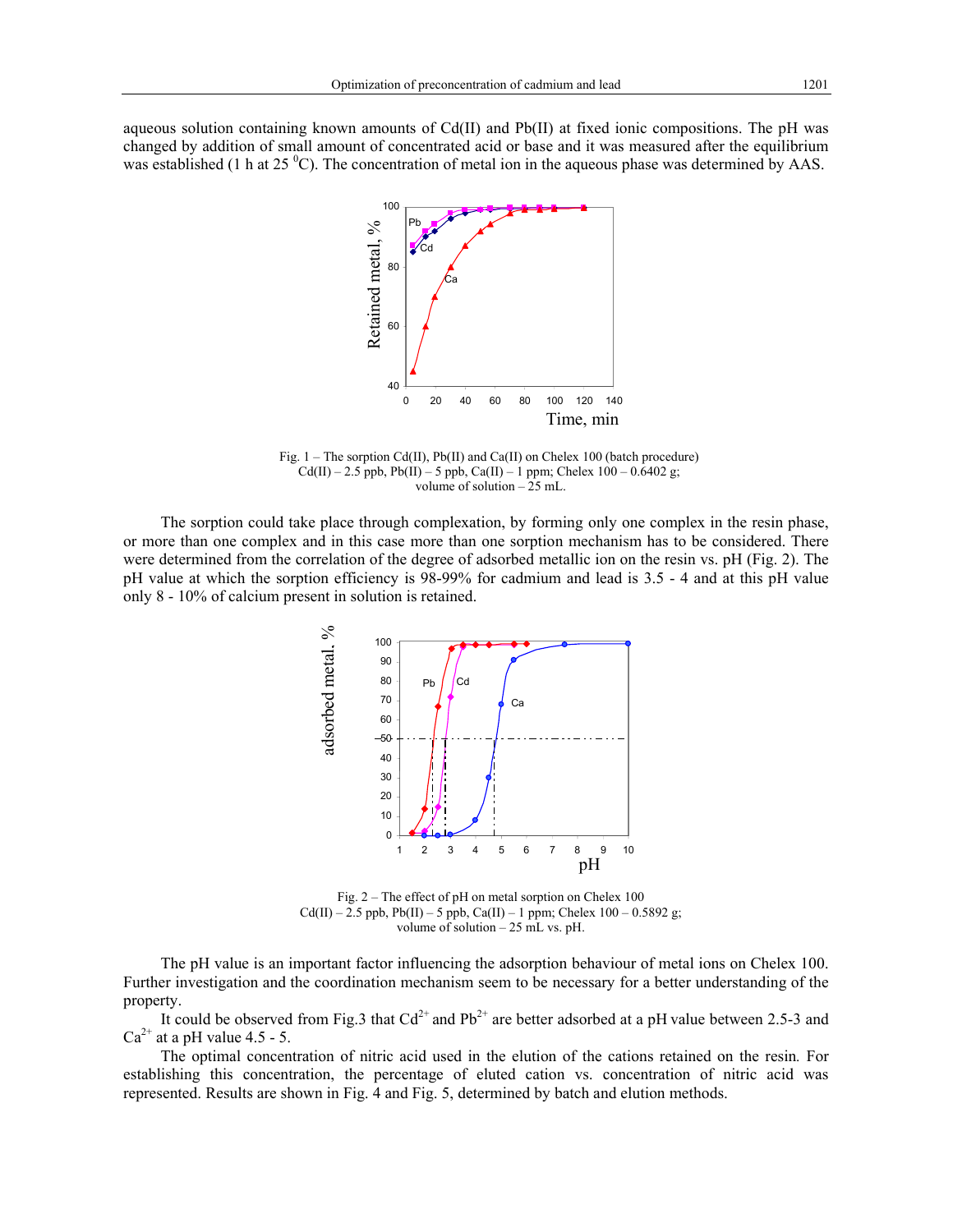aqueous solution containing known amounts of Cd(II) and Pb(II) at fixed ionic compositions. The pH was changed by addition of small amount of concentrated acid or base and it was measured after the equilibrium was established (1 h at 25  $^{\circ}$ C). The concentration of metal ion in the aqueous phase was determined by AAS.



Fig.  $1$  – The sorption Cd(II), Pb(II) and Ca(II) on Chelex 100 (batch procedure)  $Cd(II) - 2.5$  ppb,  $Pb(II) - 5$  ppb,  $Ca(II) - 1$  ppm; Chelex  $100 - 0.6402$  g; volume of solution – 25 mL.

The sorption could take place through complexation, by forming only one complex in the resin phase, or more than one complex and in this case more than one sorption mechanism has to be considered. There were determined from the correlation of the degree of adsorbed metallic ion on the resin vs. pH (Fig. 2). The pH value at which the sorption efficiency is 98-99% for cadmium and lead is 3.5 - 4 and at this pH value only 8 - 10% of calcium present in solution is retained.



Fig. 2 – The effect of pH on metal sorption on Chelex 100  $Cd(II) - 2.5$  ppb,  $Pb(II) - 5$  ppb,  $Ca(II) - 1$  ppm; Chelex  $100 - 0.5892$  g; volume of solution – 25 mL vs. pH.

The pH value is an important factor influencing the adsorption behaviour of metal ions on Chelex 100. Further investigation and the coordination mechanism seem to be necessary for a better understanding of the property.

It could be observed from Fig.3 that  $Cd^{2+}$  and  $Pb^{2+}$  are better adsorbed at a pH value between 2.5-3 and  $Ca^{2+}$  at a pH value 4.5 - 5.

The optimal concentration of nitric acid used in the elution of the cations retained on the resin*.* For establishing this concentration, the percentage of eluted cation vs. concentration of nitric acid was represented. Results are shown in Fig. 4 and Fig. 5, determined by batch and elution methods.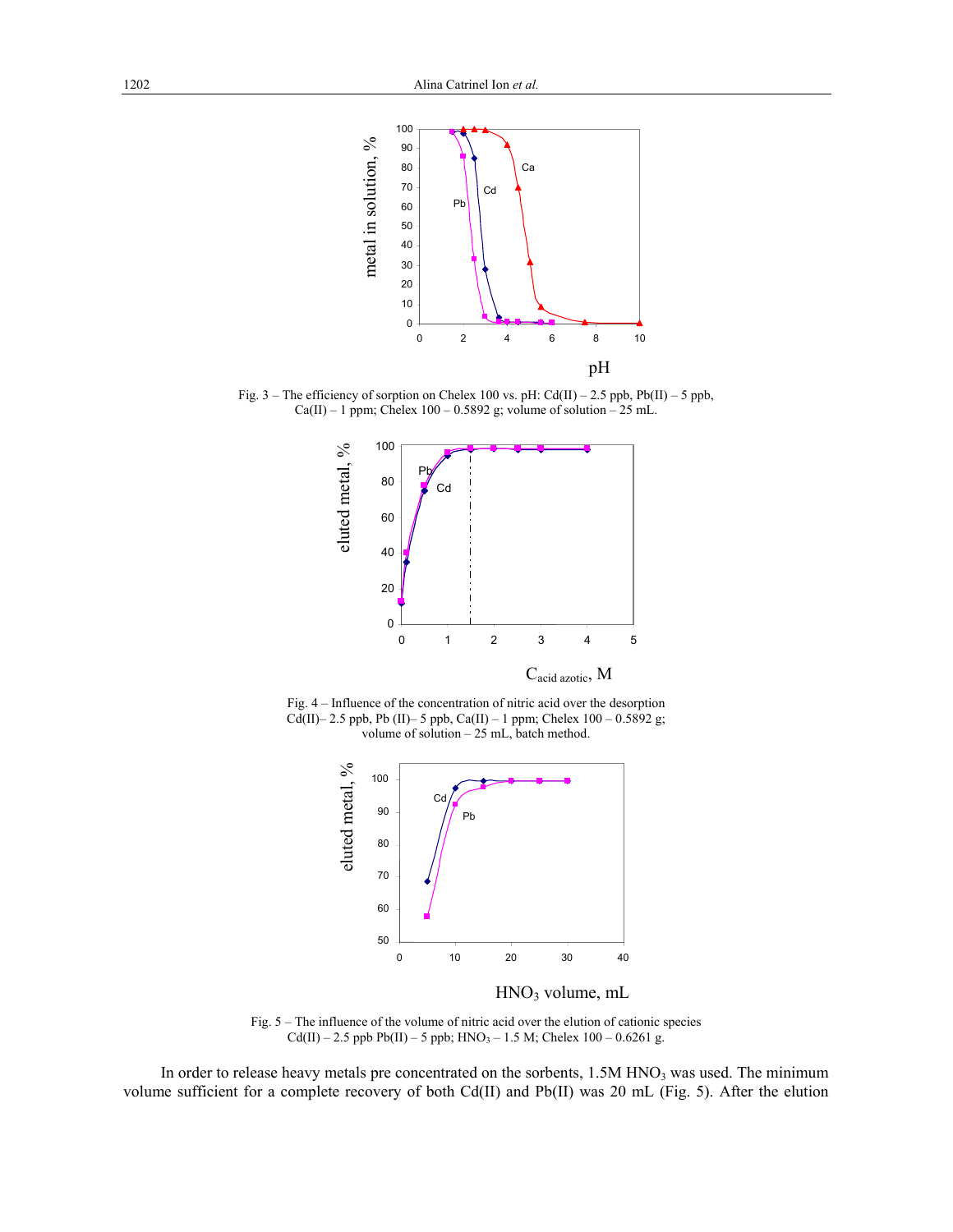

Fig. 3 – The efficiency of sorption on Chelex 100 vs. pH: Cd(II) – 2.5 ppb, Pb(II) – 5 ppb,  $Ca(II) - 1$  ppm; Chelex  $100 - 0.5892$  g; volume of solution  $-25$  mL.



Fig. 4 – Influence of the concentration of nitric acid over the desorption Cd(II)– 2.5 ppb, Pb (II)– 5 ppb, Ca(II) – 1 ppm; Chelex 100 – 0.5892 g; volume of solution – 25 mL, batch method.



HNO3 volume, mL

Fig. 5 – The influence of the volume of nitric acid over the elution of cationic species  $Cd(II) - 2.5$  ppb Pb(II) – 5 ppb;  $HNO<sub>3</sub> - 1.5$  M; Chelex 100 – 0.6261 g.

In order to release heavy metals pre concentrated on the sorbents, 1.5M HNO<sub>3</sub> was used. The minimum volume sufficient for a complete recovery of both Cd(II) and Pb(II) was 20 mL (Fig. 5). After the elution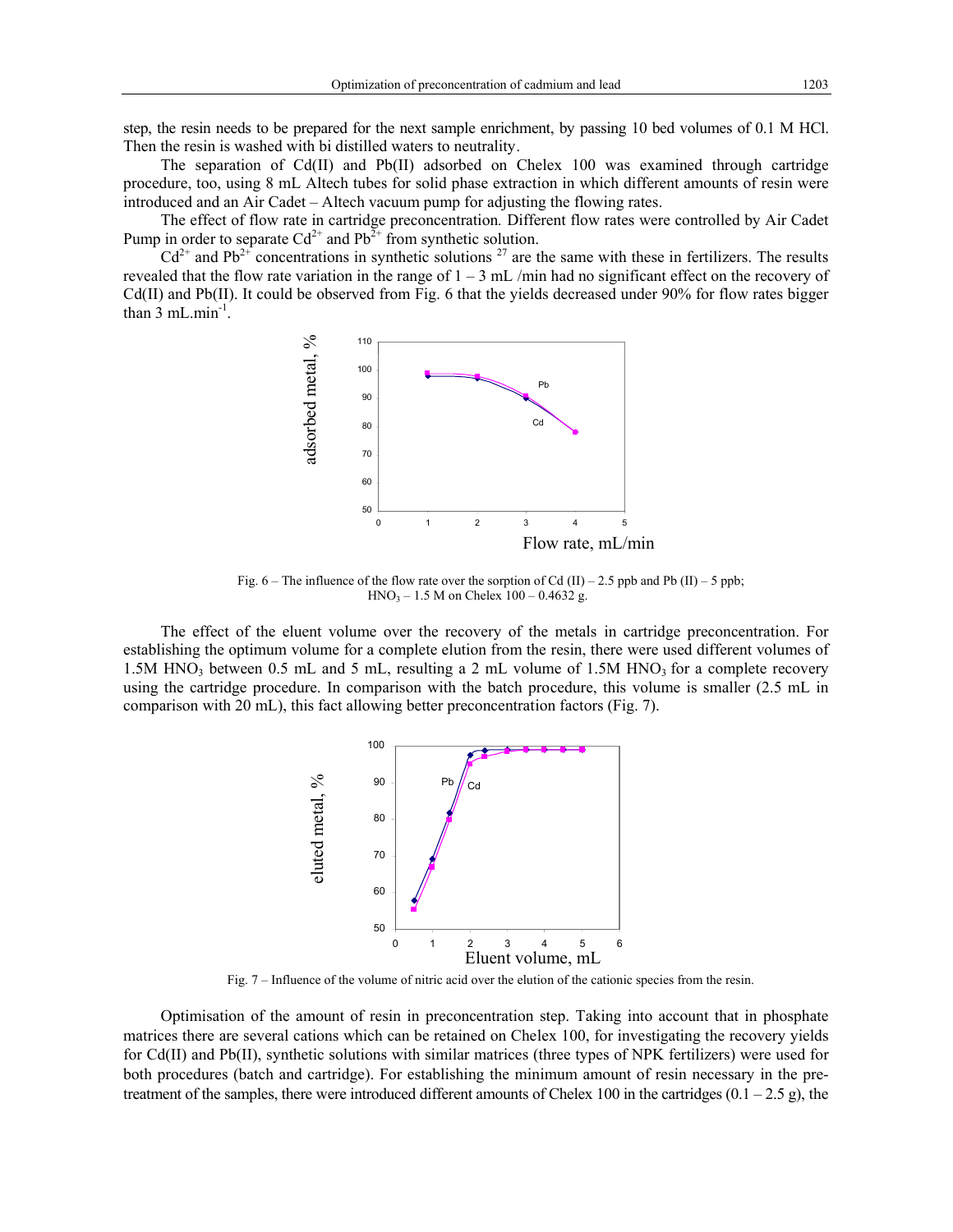step, the resin needs to be prepared for the next sample enrichment, by passing 10 bed volumes of 0.1 M HCl. Then the resin is washed with bi distilled waters to neutrality.

The separation of Cd(II) and Pb(II) adsorbed on Chelex 100 was examined through cartridge procedure, too, using 8 mL Altech tubes for solid phase extraction in which different amounts of resin were introduced and an Air Cadet – Altech vacuum pump for adjusting the flowing rates.

The effect of flow rate in cartridge preconcentration*.* Different flow rates were controlled by Air Cadet Pump in order to separate  $Cd^{2+}$  and  $Pb^{2+}$  from synthetic solution.

 $Cd^{2+}$  and Pb<sup>2+</sup> concentrations in synthetic solutions <sup>27</sup> are the same with these in fertilizers. The results revealed that the flow rate variation in the range of  $1 - 3$  mL /min had no significant effect on the recovery of Cd(II) and Pb(II). It could be observed from Fig. 6 that the yields decreased under 90% for flow rates bigger than  $3 \text{ mL.min}^{-1}$ .



Fig.  $6$  – The influence of the flow rate over the sorption of Cd (II) – 2.5 ppb and Pb (II) – 5 ppb;  $HNO<sub>3</sub> - 1.5 M$  on Chelex 100 – 0.4632 g.

The effect of the eluent volume over the recovery of the metals in cartridge preconcentration. For establishing the optimum volume for a complete elution from the resin, there were used different volumes of 1.5M HNO<sub>3</sub> between 0.5 mL and 5 mL, resulting a 2 mL volume of 1.5M HNO<sub>3</sub> for a complete recovery using the cartridge procedure. In comparison with the batch procedure, this volume is smaller (2.5 mL in comparison with 20 mL), this fact allowing better preconcentration factors (Fig. 7).



Fig. 7 – Influence of the volume of nitric acid over the elution of the cationic species from the resin.

Optimisation of the amount of resin in preconcentration step. Taking into account that in phosphate matrices there are several cations which can be retained on Chelex 100, for investigating the recovery yields for Cd(II) and Pb(II), synthetic solutions with similar matrices (three types of NPK fertilizers) were used for both procedures (batch and cartridge). For establishing the minimum amount of resin necessary in the pretreatment of the samples, there were introduced different amounts of Chelex 100 in the cartridges  $(0.1 - 2.5 g)$ , the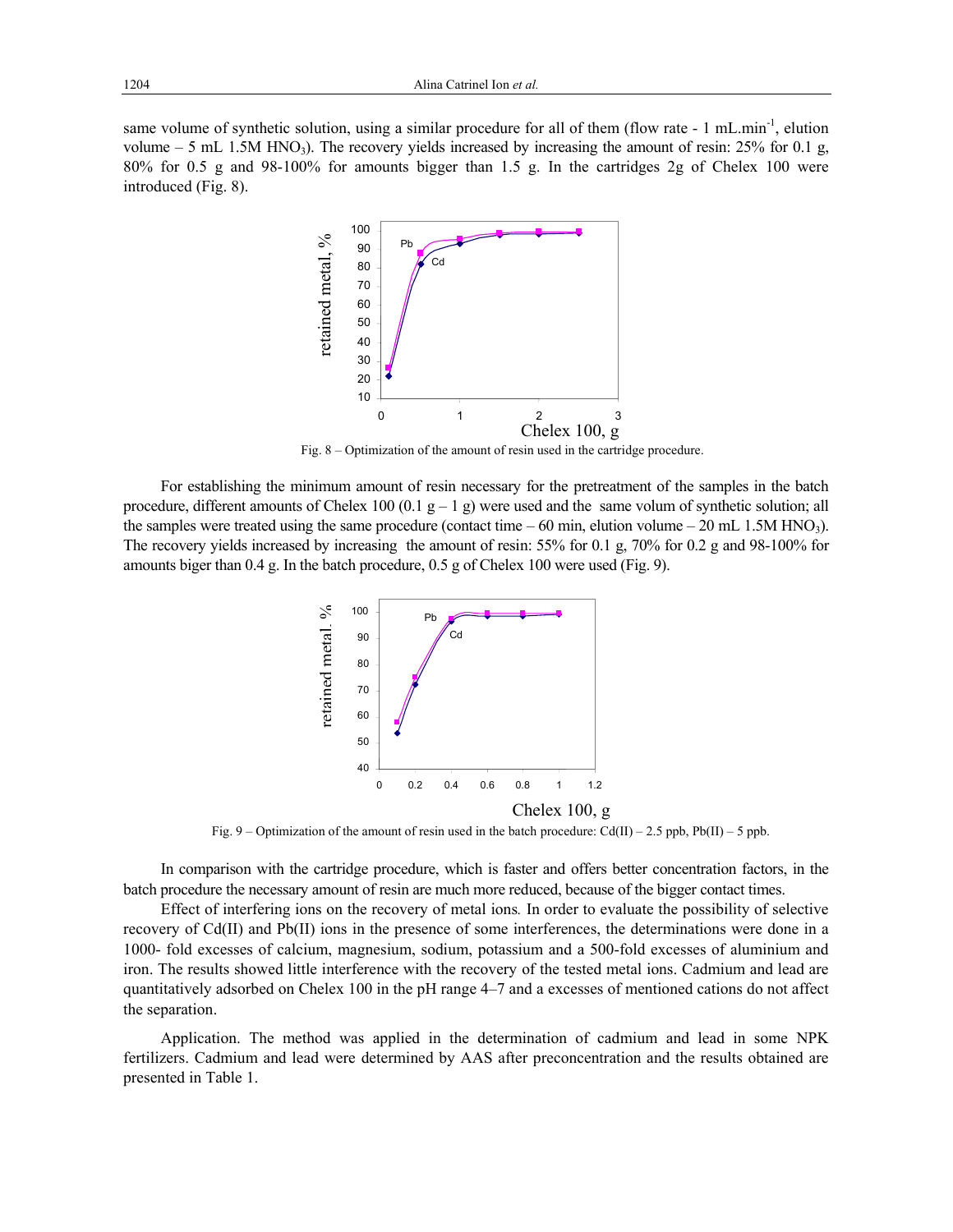same volume of synthetic solution, using a similar procedure for all of them (flow rate - 1 mL.min<sup>-1</sup>, elution volume  $-5$  mL 1.5M HNO<sub>3</sub>). The recovery yields increased by increasing the amount of resin: 25% for 0.1 g, 80% for 0.5 g and 98-100% for amounts bigger than 1.5 g. In the cartridges 2g of Chelex 100 were introduced (Fig. 8).



Fig. 8 – Optimization of the amount of resin used in the cartridge procedure.

For establishing the minimum amount of resin necessary for the pretreatment of the samples in the batch procedure, different amounts of Chelex 100 (0.1  $g - 1$  g) were used and the same volum of synthetic solution; all the samples were treated using the same procedure (contact time  $-60$  min, elution volume  $-20$  mL 1.5M HNO<sub>3</sub>). The recovery yields increased by increasing the amount of resin: 55% for 0.1 g, 70% for 0.2 g and 98-100% for amounts biger than 0.4 g. In the batch procedure, 0.5 g of Chelex 100 were used (Fig. 9).



Fig. 9 – Optimization of the amount of resin used in the batch procedure:  $Cd(II) - 2.5$  ppb,  $Pb(II) - 5$  ppb.

In comparison with the cartridge procedure, which is faster and offers better concentration factors, in the batch procedure the necessary amount of resin are much more reduced, because of the bigger contact times.

Effect of interfering ions on the recovery of metal ions*.* In order to evaluate the possibility of selective recovery of Cd(II) and Pb(II) ions in the presence of some interferences, the determinations were done in a 1000- fold excesses of calcium, magnesium, sodium, potassium and a 500-fold excesses of aluminium and iron. The results showed little interference with the recovery of the tested metal ions. Cadmium and lead are quantitatively adsorbed on Chelex 100 in the pH range 4–7 and a excesses of mentioned cations do not affect the separation.

Application. The method was applied in the determination of cadmium and lead in some NPK fertilizers. Cadmium and lead were determined by AAS after preconcentration and the results obtained are presented in Table 1.